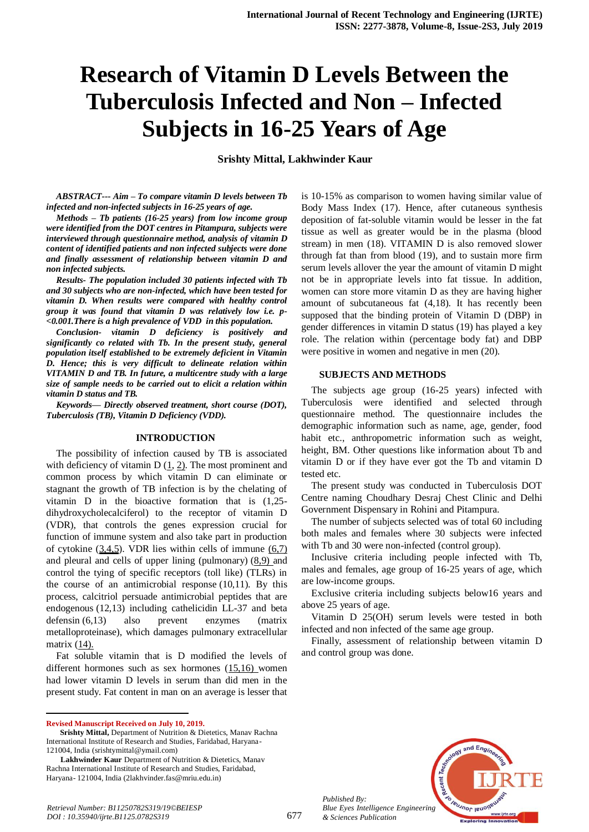# **Research of Vitamin D Levels Between the Tuberculosis Infected and Non – Infected Subjects in 16-25 Years of Age**

**Srishty Mittal, Lakhwinder Kaur** 

*ABSTRACT--- Aim – To compare vitamin D levels between Tb infected and non-infected subjects in 16-25 years of age.*

*Methods – Tb patients (16-25 years) from low income group were identified from the DOT centres in Pitampura, subjects were interviewed through questionnaire method, analysis of vitamin D content of identified patients and non infected subjects were done and finally assessment of relationship between vitamin D and non infected subjects.*

*Results- The population included 30 patients infected with Tb and 30 subjects who are non-infected, which have been tested for vitamin D. When results were compared with healthy control group it was found that vitamin D was relatively low i.e. p- <0.001.There is a high prevalence of VDD in this population.*

*Conclusion- vitamin D deficiency is positively and significantly co related with Tb. In the present study, general population itself established to be extremely deficient in Vitamin D. Hence; this is very difficult to delineate relation within VITAMIN D and TB. In future, a multicentre study with a large size of sample needs to be carried out to elicit a relation within vitamin D status and TB.*

*Keywords— Directly observed treatment, short course (DOT), Tuberculosis (TB), Vitamin D Deficiency (VDD).*

#### **INTRODUCTION**

The possibility of infection caused by TB is associated with deficiency of vitamin D  $(1, 2)$  $(1, 2)$  $(1, 2)$ . The most prominent and common process by which vitamin D can eliminate or stagnant the growth of TB infection is by the chelating of vitamin D in the bioactive formation that is (1,25 dihydroxycholecalciferol) to the receptor of vitamin D (VDR), that controls the genes expression crucial for function of immune system and also take part in production of cytokine (3,4,5). VDR lies within cells of immune (6,7) and pleural and cells of upper lining (pulmonary) (8,9) and control the tying of specific receptors (toll like) (TLRs) in the course of an antimicrobial response (10,11). By this process, calcitriol persuade antimicrobial peptides that are endogenous (12,13) including cathelicidin LL-37 and beta defensin (6,13) also prevent enzymes (matrix metalloproteinase), which damages pulmonary extracellular matrix (14).

Fat soluble vitamin that is D modified the levels of different hormones such as sex hormones (15,16) women had lower vitamin D levels in serum than did men in the present study. Fat content in man on an average is lesser that

**Revised Manuscript Received on July 10, 2019.**

 $\overline{a}$ 

**Lakhwinder Kaur** Department of Nutrition & Dietetics, Manav Rachna International Institute of Research and Studies, Faridabad, Haryana- 121004, India (2lakhvinder.fas@mriu.edu.in)

is 10-15% as comparison to women having similar value of Body Mass Index (17). Hence, after cutaneous synthesis deposition of fat-soluble vitamin would be lesser in the fat tissue as well as greater would be in the plasma (blood stream) in men (18). VITAMIN D is also removed slower through fat than from blood (19), and to sustain more firm serum levels allover the year the amount of vitamin D might not be in appropriate levels into fat tissue. In addition, women can store more vitamin D as they are having higher amount of subcutaneous fat (4,18). It has recently been supposed that the binding protein of Vitamin D (DBP) in gender differences in vitamin D status (19) has played a key role. The relation within (percentage body fat) and DBP were positive in women and negative in men (20).

#### **SUBJECTS AND METHODS**

The subjects age group (16-25 years) infected with Tuberculosis were identified and selected through questionnaire method. The questionnaire includes the demographic information such as name, age, gender, food habit etc., anthropometric information such as weight, height, BM. Other questions like information about Tb and vitamin D or if they have ever got the Tb and vitamin D tested etc.

The present study was conducted in Tuberculosis DOT Centre naming Choudhary Desraj Chest Clinic and Delhi Government Dispensary in Rohini and Pitampura.

The number of subjects selected was of total 60 including both males and females where 30 subjects were infected with Tb and 30 were non-infected (control group).

Inclusive criteria including people infected with Tb, males and females, age group of 16-25 years of age, which are low-income groups.

Exclusive criteria including subjects below16 years and above 25 years of age.

Vitamin D 25(OH) serum levels were tested in both infected and non infected of the same age group.

Finally, assessment of relationship between vitamin D and control group was done.



*Published By:*

**Srishty Mittal,** Department of Nutrition & Dietetics, Manav Rachna International Institute of Research and Studies, Faridabad, Haryana-121004, India (srishtymittal@ymail.com)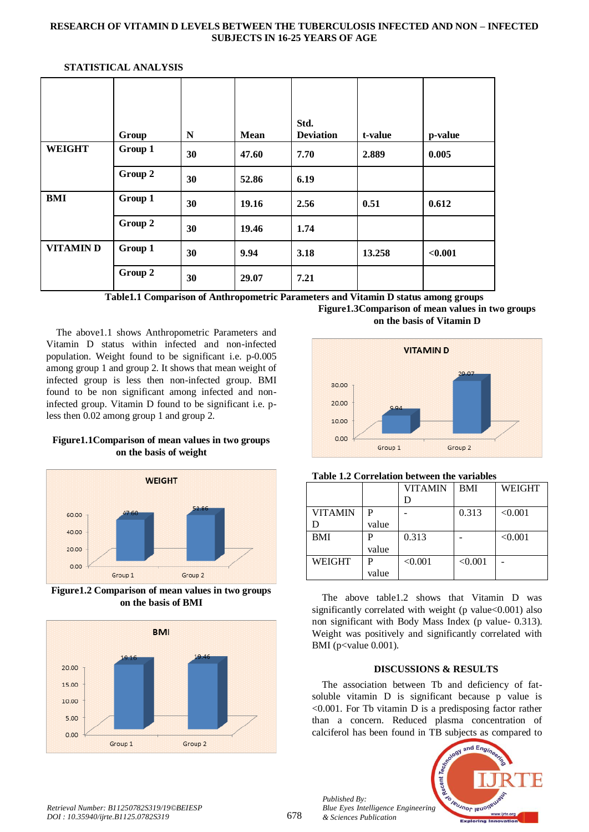### **RESEARCH OF VITAMIN D LEVELS BETWEEN THE TUBERCULOSIS INFECTED AND NON – INFECTED SUBJECTS IN 16-25 YEARS OF AGE**

|                 | Group   | N  | <b>Mean</b> | Std.<br><b>Deviation</b> | t-value | p-value |
|-----------------|---------|----|-------------|--------------------------|---------|---------|
| <b>WEIGHT</b>   | Group 1 | 30 | 47.60       | 7.70                     | 2.889   | 0.005   |
|                 | Group 2 | 30 | 52.86       | 6.19                     |         |         |
| <b>BMI</b>      | Group 1 | 30 | 19.16       | 2.56                     | 0.51    | 0.612   |
|                 | Group 2 | 30 | 19.46       | 1.74                     |         |         |
| <b>VITAMIND</b> | Group 1 | 30 | 9.94        | 3.18                     | 13.258  | < 0.001 |
|                 | Group 2 | 30 | 29.07       | 7.21                     |         |         |

#### **STATISTICAL ANALYSIS**

**Table1.1 Comparison of Anthropometric Parameters and Vitamin D status among groups** 

The above1.1 shows Anthropometric Parameters and Vitamin D status within infected and non-infected population. Weight found to be significant i.e. p-0.005 among group 1 and group 2. It shows that mean weight of infected group is less then non-infected group. BMI found to be non significant among infected and noninfected group. Vitamin D found to be significant i.e. pless then 0.02 among group 1 and group 2.

# **Figure1.1Comparison of mean values in two groups on the basis of weight**



**Figure1.2 Comparison of mean values in two groups on the basis of BMI**



**Figure1.3Comparison of mean values in two groups on the basis of Vitamin D**



### **Table 1.2 Correlation between the variables**

|                |       | <b>VITAMIN</b> | <b>BMI</b> | WEIGHT  |
|----------------|-------|----------------|------------|---------|
|                |       |                |            |         |
| <b>VITAMIN</b> | P     |                | 0.313      | < 0.001 |
|                | value |                |            |         |
| <b>BMI</b>     |       | 0.313          |            | < 0.001 |
|                | value |                |            |         |
| <b>WEIGHT</b>  | P     | < 0.001        | < 0.001    |         |
|                | value |                |            |         |

The above table1.2 shows that Vitamin D was significantly correlated with weight (p value<0.001) also non significant with Body Mass Index (p value- 0.313). Weight was positively and significantly correlated with BMI (p<value 0.001).

## **DISCUSSIONS & RESULTS**

The association between Tb and deficiency of fatsoluble vitamin D is significant because p value is <0.001. For Tb vitamin D is a predisposing factor rather than a concern. Reduced plasma concentration of calciferol has been found in TB subjects as compared to



*Published By:*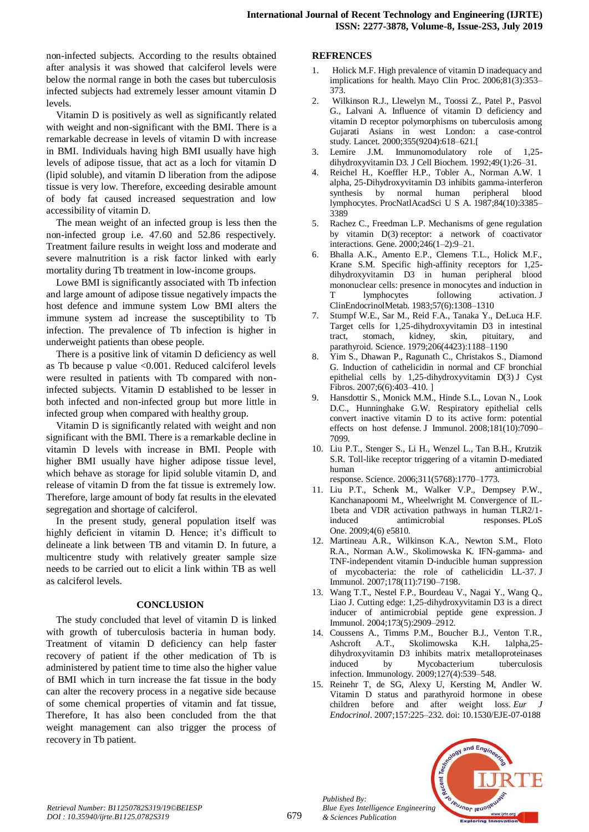non-infected subjects. According to the results obtained after analysis it was showed that calciferol levels were below the normal range in both the cases but tuberculosis infected subjects had extremely lesser amount vitamin D levels.

Vitamin D is positively as well as significantly related with weight and non-significant with the BMI. There is a remarkable decrease in levels of vitamin D with increase in BMI. Individuals having high BMI usually have high levels of adipose tissue, that act as a loch for vitamin D (lipid soluble), and vitamin D liberation from the adipose tissue is very low. Therefore, exceeding desirable amount of body fat caused increased sequestration and low accessibility of vitamin D.

The mean weight of an infected group is less then the non-infected group i.e. 47.60 and 52.86 respectively. Treatment failure results in weight loss and moderate and severe malnutrition is a risk factor linked with early mortality during Tb treatment in low-income groups.

Lowe BMI is significantly associated with Tb infection and large amount of adipose tissue negatively impacts the host defence and immune system Low BMI alters the immune system ad increase the susceptibility to Tb infection. The prevalence of Tb infection is higher in underweight patients than obese people.

There is a positive link of vitamin D deficiency as well as Tb because p value <0.001. Reduced calciferol levels were resulted in patients with Tb compared with noninfected subjects. Vitamin D established to be lesser in both infected and non-infected group but more little in infected group when compared with healthy group.

Vitamin D is significantly related with weight and non significant with the BMI. There is a remarkable decline in vitamin D levels with increase in BMI. People with higher BMI usually have higher adipose tissue level, which behave as storage for lipid soluble vitamin D, and release of vitamin D from the fat tissue is extremely low. Therefore, large amount of body fat results in the elevated segregation and shortage of calciferol.

In the present study, general population itself was highly deficient in vitamin D. Hence; it's difficult to delineate a link between TB and vitamin D. In future, a multicentre study with relatively greater sample size needs to be carried out to elicit a link within TB as well as calciferol levels.

## **CONCLUSION**

The study concluded that level of vitamin D is linked with growth of tuberculosis bacteria in human body. Treatment of vitamin D deficiency can help faster recovery of patient if the other medication of Tb is administered by patient time to time also the higher value of BMI which in turn increase the fat tissue in the body can alter the recovery process in a negative side because of some chemical properties of vitamin and fat tissue, Therefore, It has also been concluded from the that weight management can also trigger the process of recovery in Tb patient.

## **REFRENCES**

- Holick M.F. High prevalence of vitamin D inadequacy and implications for health. Mayo Clin Proc. 2006;81(3):353– 373.
- 2. Wilkinson R.J., Llewelyn M., Toossi Z., Patel P., Pasvol G., Lalvani A. Influence of vitamin D deficiency and vitamin D receptor polymorphisms on tuberculosis among Gujarati Asians in west London: a case-control study. Lancet. 2000;355(9204):618–621.[
- 3. Lemire J.M. Immunomodulatory role of 1,25 dihydroxyvitamin D3. J Cell Biochem. 1992;49(1):26–31.
- 4. Reichel H., Koeffler H.P., Tobler A., Norman A.W. 1 alpha, 25-Dihydroxyvitamin D3 inhibits gamma-interferon synthesis by normal human peripheral blood lymphocytes. ProcNatlAcadSci U S A. 1987;84(10):3385– 3389
- 5. Rachez C., Freedman L.P. Mechanisms of gene regulation by vitamin D(3) receptor: a network of coactivator interactions. Gene. 2000;246(1–2):9–21.
- 6. Bhalla A.K., Amento E.P., Clemens T.L., Holick M.F., Krane S.M. Specific high-affinity receptors for 1,25 dihydroxyvitamin D3 in human peripheral blood mononuclear cells: presence in monocytes and induction in T lymphocytes following activation. J ClinEndocrinolMetab. 1983;57(6):1308–1310
- Stumpf W.E., Sar M., Reid F.A., Tanaka Y., DeLuca H.F. Target cells for 1,25-dihydroxyvitamin D3 in intestinal tract, stomach, kidney, skin, pituitary, and parathyroid. Science. 1979;206(4423):1188–1190
- 8. Yim S., Dhawan P., Ragunath C., Christakos S., Diamond G. Induction of cathelicidin in normal and CF bronchial epithelial cells by 1,25-dihydroxyvitamin D(3) J Cyst Fibros. 2007;6(6):403–410. ]
- 9. Hansdottir S., Monick M.M., Hinde S.L., Lovan N., Look D.C., Hunninghake G.W. Respiratory epithelial cells convert inactive vitamin D to its active form: potential effects on host defense. J Immunol. 2008;181(10):7090– 7099.
- 10. Liu P.T., Stenger S., Li H., Wenzel L., Tan B.H., Krutzik S.R. Toll-like receptor triggering of a vitamin D-mediated human antimicrobial response. Science. 2006;311(5768):1770–1773.
- 11. Liu P.T., Schenk M., Walker V.P., Dempsey P.W., Kanchanapoomi M., Wheelwright M. Convergence of IL-1beta and VDR activation pathways in human TLR2/1 induced antimicrobial responses. PLoS One. 2009;4(6) e5810.
- 12. Martineau A.R., Wilkinson K.A., Newton S.M., Floto R.A., Norman A.W., Skolimowska K. IFN-gamma- and TNF-independent vitamin D-inducible human suppression of mycobacteria: the role of cathelicidin LL-37. J Immunol. 2007;178(11):7190–7198.
- 13. Wang T.T., Nestel F.P., Bourdeau V., Nagai Y., Wang Q., Liao J. Cutting edge: 1,25-dihydroxyvitamin D3 is a direct inducer of antimicrobial peptide gene expression. J Immunol. 2004;173(5):2909–2912.
- 14. Coussens A., Timms P.M., Boucher B.J., Venton T.R., Ashcroft A.T., Skolimowska K.H. 1alpha,25 dihydroxyvitamin D3 inhibits matrix metalloproteinases induced by Mycobacterium tuberculosis infection. Immunology. 2009;127(4):539–548.
- 15. Reinehr T, de SG, Alexy U, Kersting M, Andler W. Vitamin D status and parathyroid hormone in obese children before and after weight loss. *Eur* J *Endocrinol*. 2007;157:225–232. doi: 10.1530/EJE-07-0188



*Published By:*